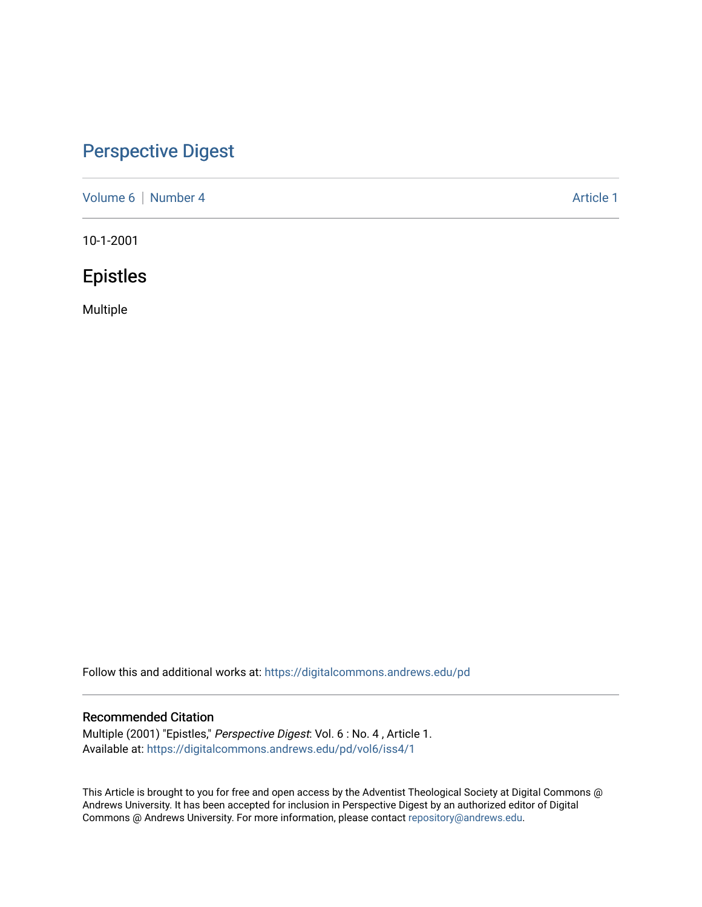# [Perspective Digest](https://digitalcommons.andrews.edu/pd)

[Volume 6](https://digitalcommons.andrews.edu/pd/vol6) | [Number 4](https://digitalcommons.andrews.edu/pd/vol6/iss4) Article 1

10-1-2001

# Epistles

Multiple

Follow this and additional works at: [https://digitalcommons.andrews.edu/pd](https://digitalcommons.andrews.edu/pd?utm_source=digitalcommons.andrews.edu%2Fpd%2Fvol6%2Fiss4%2F1&utm_medium=PDF&utm_campaign=PDFCoverPages)

## Recommended Citation

Multiple (2001) "Epistles," Perspective Digest: Vol. 6 : No. 4 , Article 1. Available at: [https://digitalcommons.andrews.edu/pd/vol6/iss4/1](https://digitalcommons.andrews.edu/pd/vol6/iss4/1?utm_source=digitalcommons.andrews.edu%2Fpd%2Fvol6%2Fiss4%2F1&utm_medium=PDF&utm_campaign=PDFCoverPages)

This Article is brought to you for free and open access by the Adventist Theological Society at Digital Commons @ Andrews University. It has been accepted for inclusion in Perspective Digest by an authorized editor of Digital Commons @ Andrews University. For more information, please contact [repository@andrews.edu.](mailto:repository@andrews.edu)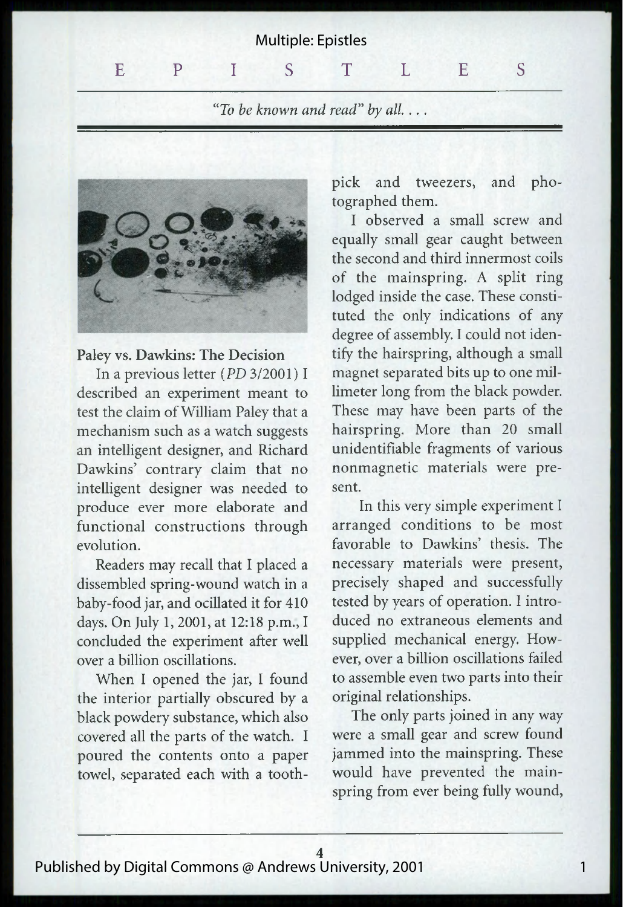"To be known and read" by all....



#### Paley vs. Dawkins: The Decision

In a previous letter *(PD* 3/2001) I described an experiment meant to test the claim of William Paley that a mechanism such as a watch suggests an intelligent designer, and Richard Dawkins' contrary claim that no intelligent designer was needed to produce ever more elaborate and functional constructions through evolution.

Readers may recall that I placed a dissembled spring-wound watch in a baby-food jar, and ocillated it for 410 days. On July 1, 2001, at 12:18 p.m., I concluded the experiment after well over a billion oscillations.

When I opened the jar, I found the interior partially obscured by a black powdery substance, which also covered all the parts of the watch. I poured the contents onto a paper towel, separated each with a toothpick and tweezers, and photographed them.

I observed a small screw and equally small gear caught between the second and third innermost coils of the mainspring. A split ring lodged inside the case. These constituted the only indications of any degree of assembly. I could not identify the hairspring, although a small magnet separated bits up to one millimeter long from the black powder. These may have been parts of the hairspring. More than 20 small unidentifiable fragments of various nonmagnetic materials were present.

In this very simple experiment I arranged conditions to be most favorable to Dawkins' thesis. The necessary materials were present, precisely shaped and successfully tested by years of operation. I introduced no extraneous elements and supplied mechanical energy. However, over a billion oscillations failed to assemble even two parts into their original relationships.

The only parts joined in any way were a small gear and screw found jammed into the mainspring. These would have prevented the mainspring from ever being fully wound,

1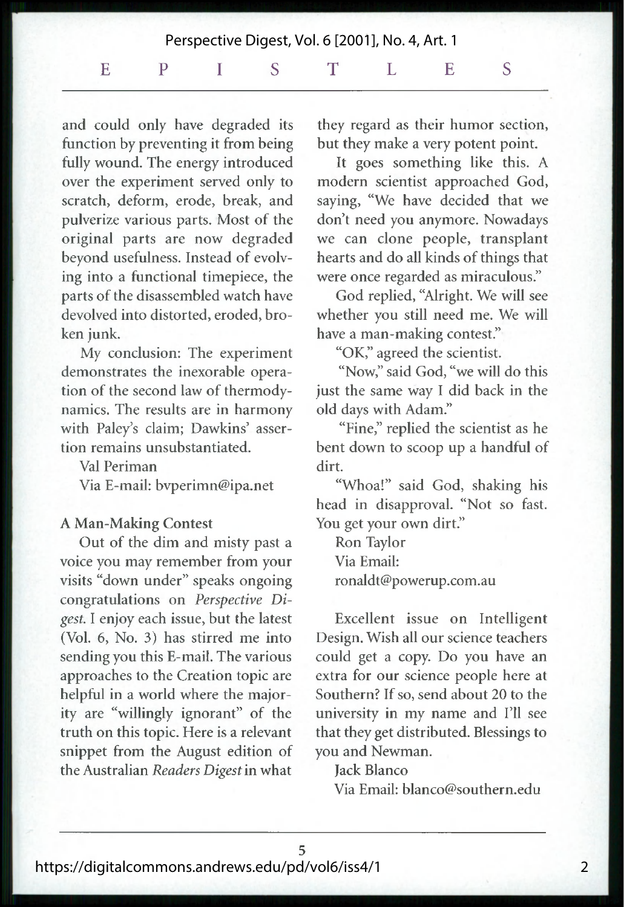and could only have degraded its function by preventing it from being fully wound. The energy introduced over the experiment served only to scratch, deform, erode, break, and pulverize various parts. Most of the original parts are now degraded beyond usefulness. Instead of evolving into a functional timepiece, the parts of the disassembled watch have devolved into distorted, eroded, broken junk.

My conclusion: The experiment demonstrates the inexorable operation of the second law of thermodynamics. The results are in harmony with Paley's claim; Dawkins' assertion remains unsubstantiated.

Val Periman

Via E-mail: [bvperimn@ipa.net](mailto:bvperimn@ipa.net)

#### A Man-Making Contest

Out of the dim and misty past a voice you may remember from your visits "down under" speaks ongoing congratulations on *Perspective Digest.* I enjoy each issue, but the latest (Vol. 6, No. 3) has stirred me into sending you this E-mail. The various approaches to the Creation topic are helpful in a world where the majority are "willingly ignorant" of the truth on this topic. Here is a relevant snippet from the August edition of the Australian *Readers Digest* in what they regard as their humor section, but they make a very potent point.

It goes something like this. A modern scientist approached God, saying, "We have decided that we don't need you anymore. Nowadays we can clone people, transplant hearts and do all kinds of things that were once regarded as miraculous."

God replied, "Alright. We will see whether you still need me. We will have a man-making contest."

"OK," agreed the scientist.

"Now," said God, "we will do this just the same way I did back in the old days with Adam."

"Fine," replied the scientist as he bent down to scoop up a handful of dirt.

"Whoa!" said God, shaking his head in disapproval. "Not so fast. You get your own dirt."

Ron Taylor Via Email: [ronaldt@powerup.com.au](mailto:ronaldt@powerup.com.au)

Excellent issue on Intelligent Design. Wish all our science teachers could get a copy. Do you have an extra for our science people here at Southern? If so, send about 20 to the university in my name and I'll see that they get distributed. Blessings to you and Newman.

### Jack Blanco

Via Email: [blanco@southern.edu](mailto:blanco@southern.edu)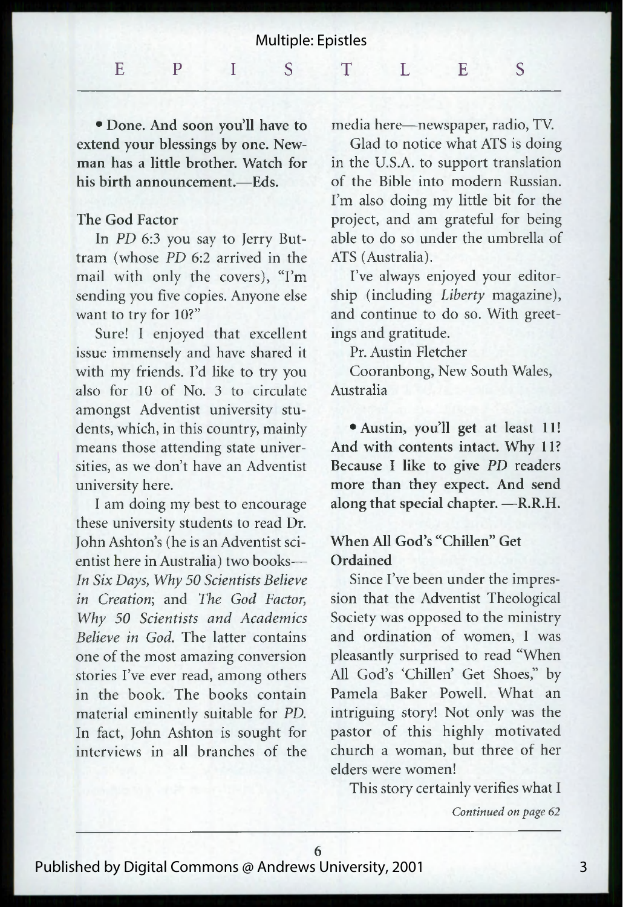| Multiple: Epistles |  |  |  |  |  |  |  |
|--------------------|--|--|--|--|--|--|--|
|                    |  |  |  |  |  |  |  |

• Done. And soon you'll have to extend your blessings by one. Newman has a little brother. Watch for his birth announcement.—Eds.

#### The God Factor

In *PD* 6:3 you say to Jerry Buttram (whose *PD* 6:2 arrived in the mail with only the covers), "I'm sending you five copies. Anyone else want to try for 10?"

Sure! I enjoyed that excellent issue immensely and have shared it with my friends. I'd like to try you also for 10 of No. 3 to circulate amongst Adventist university students, which, in this country, mainly means those attending state universities, as we don't have an Adventist university here.

I am doing my best to encourage these university students to read Dr. John Ashton's (he is an Adventist scientist here in Australia) two books— *In Six Days, Why 50 Scientists Believe in Creation*; and *The God Factor, Why 50 Scientists and Academics Believe in God.* The latter contains one of the most amazing conversion stories I've ever read, among others in the book. The books contain material eminently suitable for *PD.* In fact, John Ashton is sought for interviews in all branches of the

media here—newspaper, radio, TV.

Glad to notice what ATS is doing in the U.S.A. to support translation of the Bible into modern Russian. I'm also doing my little bit for the project, and am grateful for being able to do so under the umbrella of ATS (Australia).

I've always enjoyed your editorship (including *Liberty* magazine), and continue to do so. With greetings and gratitude.

Pr. Austin Fletcher

Cooranbong, New South Wales, Australia

• Austin, you'll get at least 11! And with contents intact. Why 11? Because I like to give *PD* readers more than they expect. And send along that special chapter. —R.R.H.

### When All God's "Chillen" Get Ordained

Since I've been under the impression that the Adventist Theological Society was opposed to the ministry and ordination of women, I was pleasantly surprised to read "When All God's 'Chillen' Get Shoes," by Pamela Baker Powell. What an intriguing story! Not only was the pastor of this highly motivated church a woman, but three of her elders were women!

This story certainly verifies what I

*Continued on page 62*